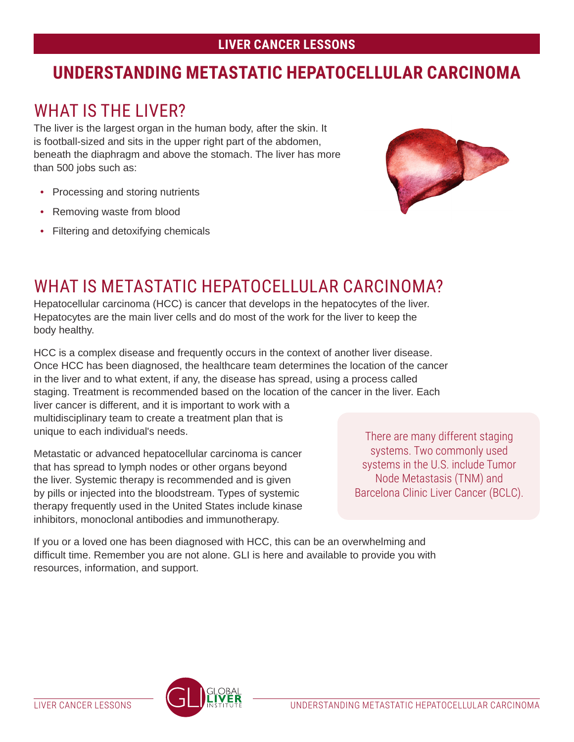## **LIVER CANCER LESSONS**

## **UNDERSTANDING METASTATIC HEPATOCELLULAR CARCINOMA**

# WHAT IS THE LIVER?

The liver is the largest organ in the human body, after the skin. It is football-sized and sits in the upper right part of the abdomen, beneath the diaphragm and above the stomach. The liver has more than 500 jobs such as:

- Processing and storing nutrients
- Removing waste from blood
- Filtering and detoxifying chemicals



# WHAT IS METASTATIC HEPATOCELLUI AR CARCINOMA?

Hepatocellular carcinoma (HCC) is cancer that develops in the hepatocytes of the liver. Hepatocytes are the main liver cells and do most of the work for the liver to keep the body healthy.

HCC is a complex disease and frequently occurs in the context of another liver disease. Once HCC has been diagnosed, the healthcare team determines the location of the cancer in the liver and to what extent, if any, the disease has spread, using a process called staging. Treatment is recommended based on the location of the cancer in the liver. Each liver cancer is different, and it is important to work with a multidisciplinary team to create a treatment plan that is unique to each individual's needs.

Metastatic or advanced hepatocellular carcinoma is cancer that has spread to lymph nodes or other organs beyond the liver. Systemic therapy is recommended and is given by pills or injected into the bloodstream. Types of systemic therapy frequently used in the United States include kinase inhibitors, monoclonal antibodies and immunotherapy.

There are many different staging systems. Two commonly used systems in the U.S. include Tumor Node Metastasis (TNM) and Barcelona Clinic Liver Cancer (BCLC).

If you or a loved one has been diagnosed with HCC, this can be an overwhelming and difficult time. Remember you are not alone. GLI is here and available to provide you with resources, information, and support.

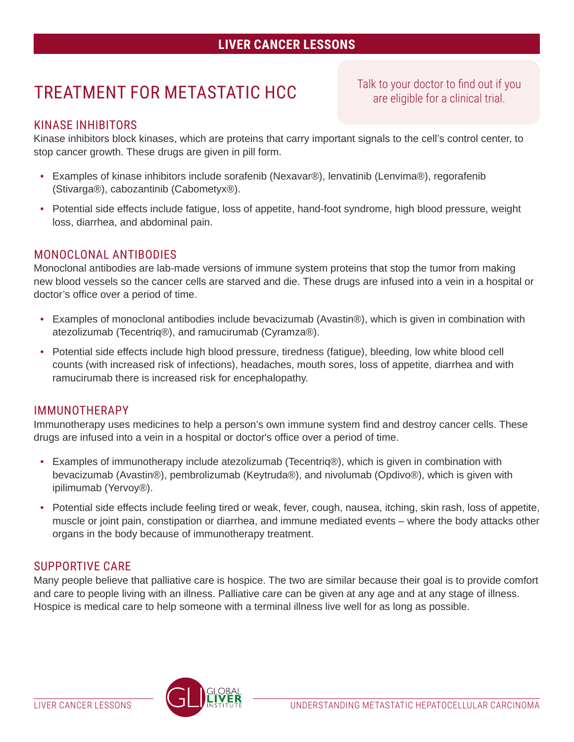## **LIVER CANCER LESSONS**

# TREATMENT FOR METASTATIC HCC

Talk to your doctor to find out if you are eligible for a clinical trial.

#### KINASE INHIBITORS

Kinase inhibitors block kinases, which are proteins that carry important signals to the cell's control center, to stop cancer growth. These drugs are given in pill form.

- Examples of kinase inhibitors include sorafenib (Nexavar®), lenvatinib (Lenvima®), regorafenib (Stivarga®), cabozantinib (Cabometyx®).
- Potential side effects include fatigue, loss of appetite, hand-foot syndrome, high blood pressure, weight loss, diarrhea, and abdominal pain.

#### MONOCLONAL ANTIBODIES

Monoclonal antibodies are lab-made versions of immune system proteins that stop the tumor from making new blood vessels so the cancer cells are starved and die. These drugs are infused into a vein in a hospital or doctor's office over a period of time.

- Examples of monoclonal antibodies include bevacizumab (Avastin®), which is given in combination with atezolizumab (Tecentriq®), and ramucirumab (Cyramza®).
- Potential side effects include high blood pressure, tiredness (fatigue), bleeding, low white blood cell counts (with increased risk of infections), headaches, mouth sores, loss of appetite, diarrhea and with ramucirumab there is increased risk for encephalopathy.

#### IMMUNOTHERAPY

Immunotherapy uses medicines to help a person's own immune system find and destroy cancer cells. These drugs are infused into a vein in a hospital or doctor's office over a period of time.

- Examples of immunotherapy include atezolizumab (Tecentriq®), which is given in combination with bevacizumab (Avastin®), pembrolizumab (Keytruda®), and nivolumab (Opdivo®), which is given with ipilimumab (Yervoy®).
- Potential side effects include feeling tired or weak, fever, cough, nausea, itching, skin rash, loss of appetite, muscle or joint pain, constipation or diarrhea, and immune mediated events – where the body attacks other organs in the body because of immunotherapy treatment.

#### SUPPORTIVE CARE

Many people believe that palliative care is hospice. The two are similar because their goal is to provide comfort and care to people living with an illness. Palliative care can be given at any age and at any stage of illness. Hospice is medical care to help someone with a terminal illness live well for as long as possible.